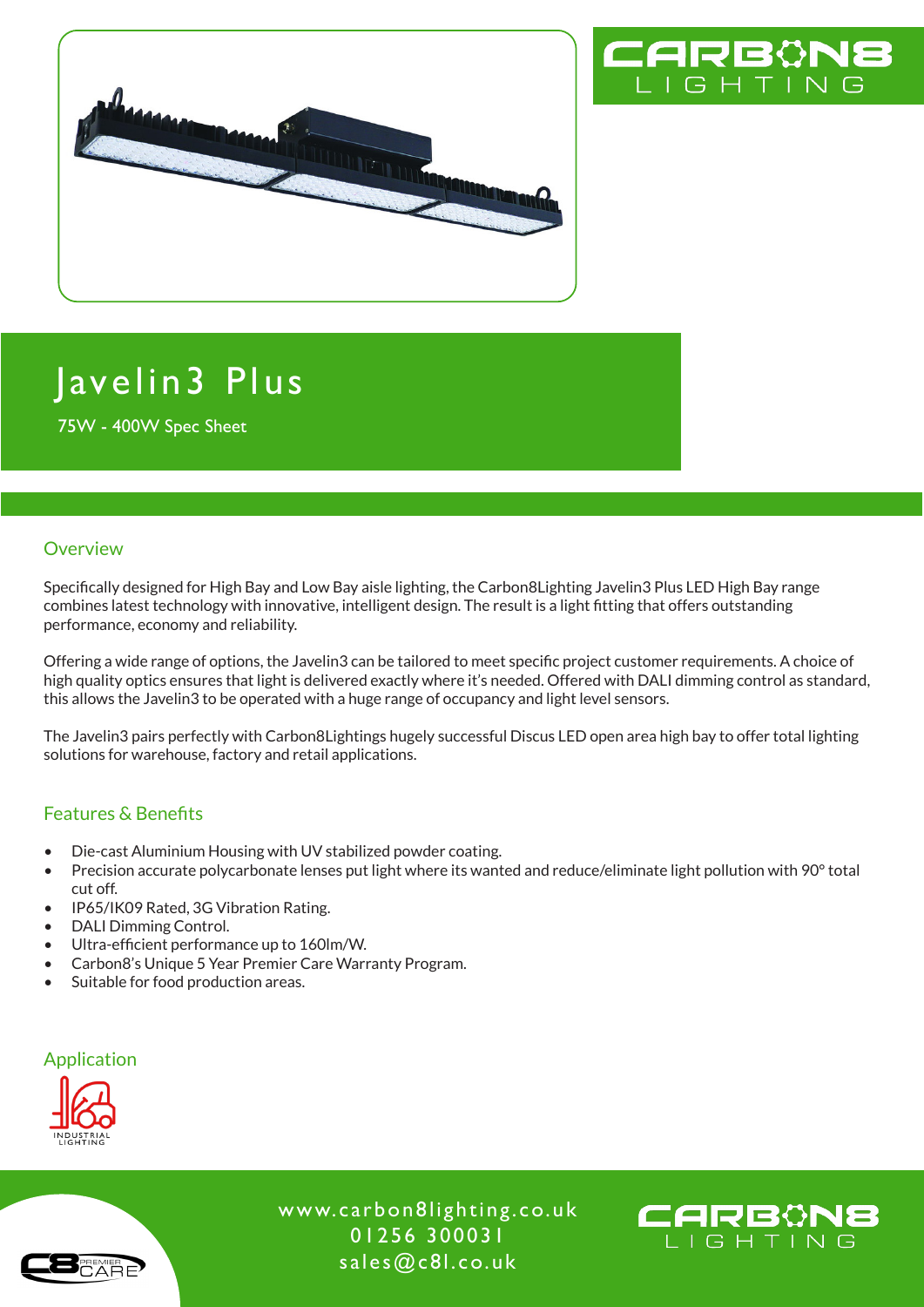



# Javelin3 Plus

75W - 400W Spec Sheet

#### **Overview**

Specifically designed for High Bay and Low Bay aisle lighting, the Carbon8Lighting Javelin3 Plus LED High Bay range combines latest technology with innovative, intelligent design. The result is a light fitting that offers outstanding performance, economy and reliability.

Offering a wide range of options, the Javelin3 can be tailored to meet specific project customer requirements. A choice of high quality optics ensures that light is delivered exactly where it's needed. Offered with DALI dimming control as standard, this allows the Javelin3 to be operated with a huge range of occupancy and light level sensors.

The Javelin3 pairs perfectly with Carbon8Lightings hugely successful Discus LED open area high bay to offer total lighting solutions for warehouse, factory and retail applications.

#### Features & Benefits

- Die-cast Aluminium Housing with UV stabilized powder coating.
- Precision accurate polycarbonate lenses put light where its wanted and reduce/eliminate light pollution with 90° total cut off.
- IP65/IK09 Rated, 3G Vibration Rating.
- DALI Dimming Control.
- Ultra-efficient performance up to 160lm/W.
- Carbon8's Unique 5 Year Premier Care Warranty Program.
- Suitable for food production areas.

#### Application



www.carbon8lighting.co.uk 01256 300031 sales@c8l.co.uk